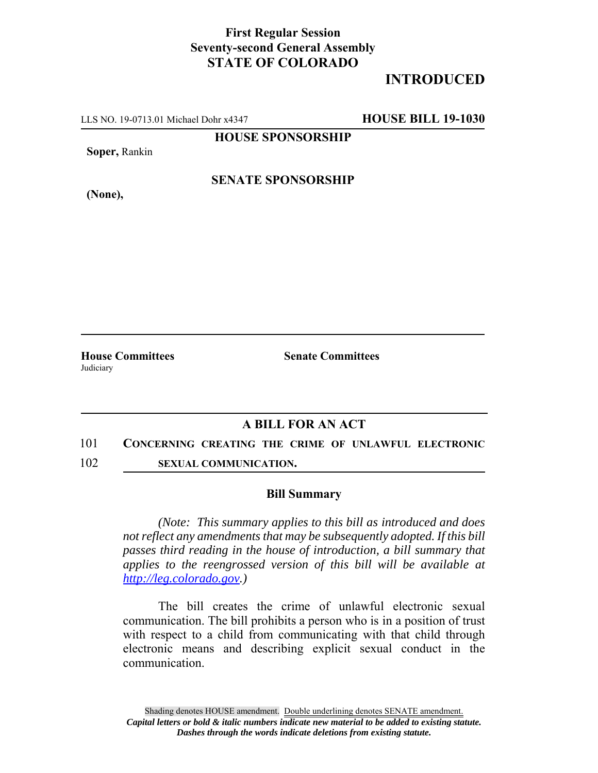## **First Regular Session Seventy-second General Assembly STATE OF COLORADO**

# **INTRODUCED**

LLS NO. 19-0713.01 Michael Dohr x4347 **HOUSE BILL 19-1030**

**HOUSE SPONSORSHIP**

**Soper,** Rankin

**(None),**

**SENATE SPONSORSHIP**

**House Committees Senate Committees** Judiciary

## **A BILL FOR AN ACT**

#### 101 **CONCERNING CREATING THE CRIME OF UNLAWFUL ELECTRONIC**

102 **SEXUAL COMMUNICATION.**

### **Bill Summary**

*(Note: This summary applies to this bill as introduced and does not reflect any amendments that may be subsequently adopted. If this bill passes third reading in the house of introduction, a bill summary that applies to the reengrossed version of this bill will be available at http://leg.colorado.gov.)*

The bill creates the crime of unlawful electronic sexual communication. The bill prohibits a person who is in a position of trust with respect to a child from communicating with that child through electronic means and describing explicit sexual conduct in the communication.

Shading denotes HOUSE amendment. Double underlining denotes SENATE amendment. *Capital letters or bold & italic numbers indicate new material to be added to existing statute. Dashes through the words indicate deletions from existing statute.*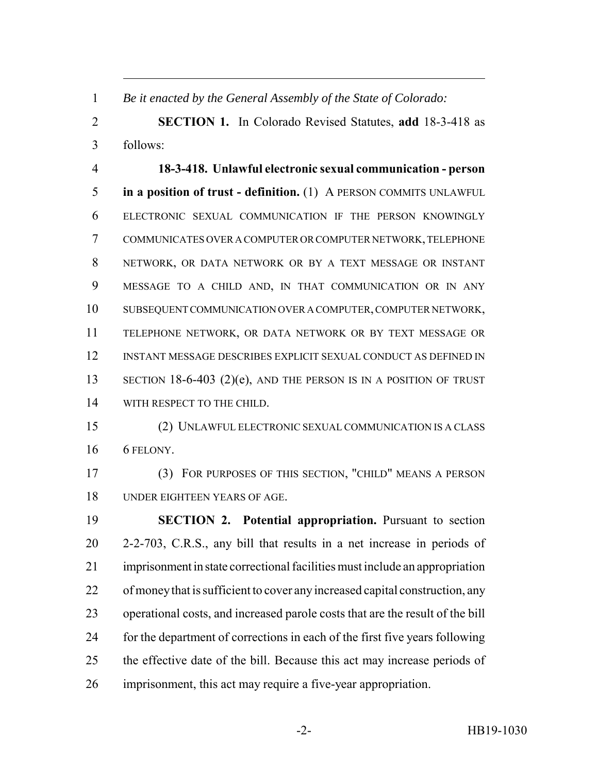*Be it enacted by the General Assembly of the State of Colorado:*

 **SECTION 1.** In Colorado Revised Statutes, **add** 18-3-418 as follows:

 **18-3-418. Unlawful electronic sexual communication - person in a position of trust - definition.** (1) A PERSON COMMITS UNLAWFUL ELECTRONIC SEXUAL COMMUNICATION IF THE PERSON KNOWINGLY COMMUNICATES OVER A COMPUTER OR COMPUTER NETWORK, TELEPHONE NETWORK, OR DATA NETWORK OR BY A TEXT MESSAGE OR INSTANT MESSAGE TO A CHILD AND, IN THAT COMMUNICATION OR IN ANY SUBSEQUENT COMMUNICATION OVER A COMPUTER, COMPUTER NETWORK, TELEPHONE NETWORK, OR DATA NETWORK OR BY TEXT MESSAGE OR INSTANT MESSAGE DESCRIBES EXPLICIT SEXUAL CONDUCT AS DEFINED IN 13 SECTION 18-6-403 (2)(e), AND THE PERSON IS IN A POSITION OF TRUST WITH RESPECT TO THE CHILD.

 (2) UNLAWFUL ELECTRONIC SEXUAL COMMUNICATION IS A CLASS 6 FELONY.

 (3) FOR PURPOSES OF THIS SECTION, "CHILD" MEANS A PERSON UNDER EIGHTEEN YEARS OF AGE.

 **SECTION 2. Potential appropriation.** Pursuant to section 2-2-703, C.R.S., any bill that results in a net increase in periods of imprisonment in state correctional facilities must include an appropriation of money that is sufficient to cover any increased capital construction, any operational costs, and increased parole costs that are the result of the bill for the department of corrections in each of the first five years following the effective date of the bill. Because this act may increase periods of imprisonment, this act may require a five-year appropriation.